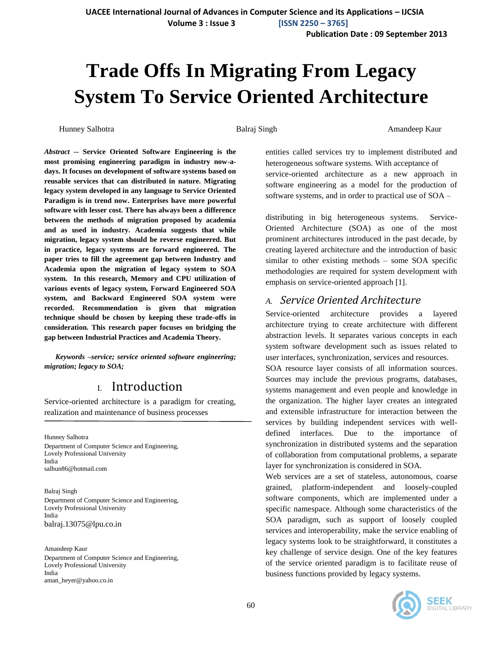**Publication Date : 09 September 2013**

# **Trade Offs In Migrating From Legacy System To Service Oriented Architecture**

Hunney Salhotra Balraj Singh Amandeep Kaur

*Abstract* **-- Service Oriented Software Engineering is the most promising engineering paradigm in industry now-adays. It focuses on development of software systems based on reusable services that can distributed in nature. Migrating legacy system developed in any language to Service Oriented Paradigm is in trend now. Enterprises have more powerful software with lesser cost. There has always been a difference between the methods of migration proposed by academia and as used in industry. Academia suggests that while migration, legacy system should be reverse engineered. But in practice, legacy systems are forward engineered. The paper tries to fill the agreement gap between Industry and Academia upon the migration of legacy system to SOA system. In this research, Memory and CPU utilization of various events of legacy system, Forward Engineered SOA system, and Backward Engineered SOA system were recorded. Recommendation is given that migration technique should be chosen by keeping these trade-offs in consideration. This research paper focuses on bridging the gap between Industrial Practices and Academia Theory.**

*Keywords –service; service oriented software engineering; migration; legacy to SOA;*

## I. Introduction

Service-oriented architecture is a paradigm for creating, realization and maintenance of business processes

Hunney Salhotra Department of Computer Science and Engineering, Lovely Professional University India salhun86@hotmail.com

Balraj Singh Department of Computer Science and Engineering, Lovely Professional University India balraj.13075@lpu.co.in

Amandeep Kaur Department of Computer Science and Engineering, Lovely Professional University India aman\_heyer@yahoo.co.in

entities called services try to implement distributed and heterogeneous software systems. With acceptance of service-oriented architecture as a new approach in software engineering as a model for the production of software systems, and in order to practical use of SOA –

distributing in big heterogeneous systems. Service-Oriented Architecture (SOA) as one of the most prominent architectures introduced in the past decade, by creating layered architecture and the introduction of basic similar to other existing methods – some SOA specific methodologies are required for system development with emphasis on service-oriented approach [1].

#### *A. Service Oriented Architecture*

Service-oriented architecture provides a layered architecture trying to create architecture with different abstraction levels. It separates various concepts in each system software development such as issues related to user interfaces, synchronization, services and resources.

SOA resource layer consists of all information sources. Sources may include the previous programs, databases, systems management and even people and knowledge in the organization. The higher layer creates an integrated and extensible infrastructure for interaction between the services by building independent services with welldefined interfaces. Due to the importance of synchronization in distributed systems and the separation of collaboration from computational problems, a separate layer for synchronization is considered in SOA.

Web services are a set of stateless, autonomous, coarse grained, platform-independent and loosely-coupled software components, which are implemented under a specific namespace. Although some characteristics of the SOA paradigm, such as support of loosely coupled services and interoperability, make the service enabling of legacy systems look to be straightforward, it constitutes a key challenge of service design. One of the key features of the service oriented paradigm is to facilitate reuse of business functions provided by legacy systems.



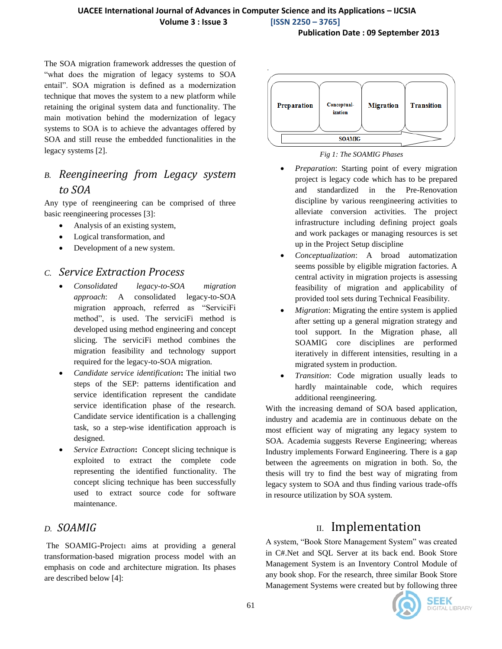#### **UACEE International Journal of Advances in Computer Science and its Applications – IJCSIA Volume 3 : Issue 3 [ISSN 2250 – 3765]**

**Publication Date : 09 September 2013**

The SOA migration framework addresses the question of "what does the migration of legacy systems to SOA entail". SOA migration is defined as a modernization technique that moves the system to a new platform while retaining the original system data and functionality. The main motivation behind the modernization of legacy systems to SOA is to achieve the advantages offered by SOA and still reuse the embedded functionalities in the legacy systems [2].

# *B. Reengineering from Legacy system to SOA*

Any type of reengineering can be comprised of three basic reengineering processes [3]:

- Analysis of an existing system,
- Logical transformation, and
- Development of a new system.

#### *C. Service Extraction Process*

- *Consolidated legacy-to-SOA migration approach*: A consolidated legacy-to-SOA migration approach, referred as "ServiciFi method", is used. The serviciFi method is developed using method engineering and concept slicing. The serviciFi method combines the migration feasibility and technology support required for the legacy-to-SOA migration.
- *Candidate service identification***:** The initial two steps of the SEP: patterns identification and service identification represent the candidate service identification phase of the research. Candidate service identification is a challenging task, so a step-wise identification approach is designed.
- *Service Extraction***:** Concept slicing technique is exploited to extract the complete code representing the identified functionality. The concept slicing technique has been successfully used to extract source code for software maintenance.

#### *D. SOAMIG*

The SOAMIG-Project1 aims at providing a general transformation-based migration process model with an emphasis on code and architecture migration. Its phases are described below [4]:



*Fig 1: The SOAMIG Phases*

- *Preparation*: Starting point of every migration project is legacy code which has to be prepared and standardized in the Pre-Renovation discipline by various reengineering activities to alleviate conversion activities. The project infrastructure including defining project goals and work packages or managing resources is set up in the Project Setup discipline
- *Conceptualization*: A broad automatization seems possible by eligible migration factories. A central activity in migration projects is assessing feasibility of migration and applicability of provided tool sets during Technical Feasibility.
- *Migration*: Migrating the entire system is applied after setting up a general migration strategy and tool support. In the Migration phase, all SOAMIG core disciplines are performed iteratively in different intensities, resulting in a migrated system in production.
- *Transition*: Code migration usually leads to hardly maintainable code, which requires additional reengineering.

With the increasing demand of SOA based application, industry and academia are in continuous debate on the most efficient way of migrating any legacy system to SOA. Academia suggests Reverse Engineering; whereas Industry implements Forward Engineering. There is a gap between the agreements on migration in both. So, the thesis will try to find the best way of migrating from legacy system to SOA and thus finding various trade-offs in resource utilization by SOA system.

# II. Implementation

A system, "Book Store Management System" was created in C#.Net and SQL Server at its back end. Book Store Management System is an Inventory Control Module of any book shop. For the research, three similar Book Store Management Systems were created but by following three

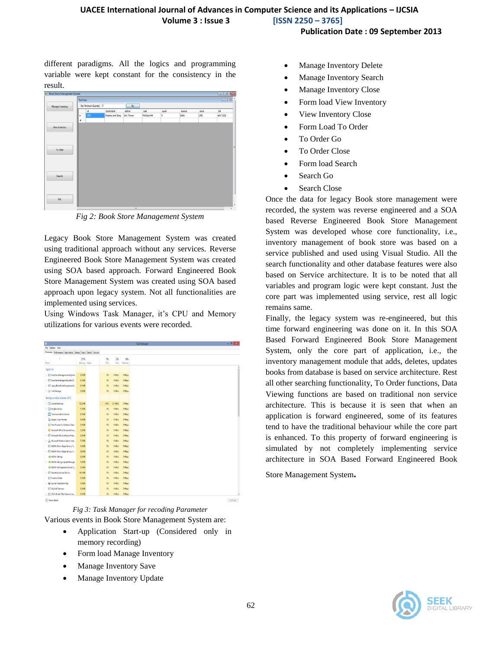**Publication Date : 09 September 2013**

different paradigms. All the logics and programming variable were kept constant for the consistency in the result.

| <sup>a</sup> Book Store Managment System |         |                        |                       |            |            |      |        |       | $\mathbf{z}$<br>- ச     |
|------------------------------------------|---------|------------------------|-----------------------|------------|------------|------|--------|-------|-------------------------|
|                                          | ToOrder |                        |                       |            |            |      |        |       | $\circ$ $\circ$ $\circ$ |
| Manage Inventory                         |         | Set Minimum Quantity 5 | Go                    |            |            |      |        |       |                         |
|                                          |         | id.                    | bookname              | author     | pub        | quan | source | price | ы                       |
|                                          | ٠       | 1001                   | <b>Dhama and Greg</b> | Sim Timson | McGrawHill | 5    | Dehi   | 256   | ds71222                 |
|                                          | ٠       |                        |                       |            |            |      |        |       |                         |
| <b>View Invertory</b>                    |         |                        |                       |            |            |      |        |       |                         |
|                                          |         |                        |                       |            |            |      |        |       |                         |
|                                          |         |                        |                       |            |            |      |        |       |                         |
|                                          |         |                        |                       |            |            |      |        |       |                         |
| To Order                                 |         |                        |                       |            |            |      |        |       | E                       |
|                                          |         |                        |                       |            |            |      |        |       |                         |
|                                          |         |                        |                       |            |            |      |        |       |                         |
|                                          |         |                        |                       |            |            |      |        |       |                         |
|                                          |         |                        |                       |            |            |      |        |       |                         |
| Search                                   |         |                        |                       |            |            |      |        |       |                         |
|                                          |         |                        |                       |            |            |      |        |       |                         |
|                                          |         |                        |                       |            |            |      |        |       |                         |
|                                          |         |                        |                       |            |            |      |        |       |                         |
|                                          |         |                        |                       |            |            |      |        |       | ш                       |
| Ext.                                     |         |                        |                       |            |            |      |        |       |                         |
|                                          |         |                        |                       |            |            |      |        |       | $\ddot{\phantom{0}}$    |

*Fig 2: Book Store Management System*

Legacy Book Store Management System was created using traditional approach without any services. Reverse Engineered Book Store Management System was created using SOA based approach. Forward Engineered Book Store Management System was created using SOA based approach upon legacy system. Not all functionalities are implemented using services.

Using Windows Task Manager, it's CPU and Memory utilizations for various events were recorded.

| File Options View                                                |               |  |       |          |              |
|------------------------------------------------------------------|---------------|--|-------|----------|--------------|
| Processes Performance App history Startup Users Details Services |               |  |       |          |              |
| ٠                                                                | 27%           |  | 1%    | 2%       | 0%           |
| Name                                                             | Memory Status |  | CPU   | Disk     | Network      |
| Apps (4)                                                         |               |  |       |          |              |
| > R: BookStoreManagmementSystem                                  | 3.0 MB        |  | ØS.   | 0 MB/s   | <b>OMbps</b> |
| > R BookStoreManagmentSystemFE                                   | 3.1MB         |  | es,   | OMB/s    | <b>OMbps</b> |
| > III LegacyBookStoreManagementS                                 | 3.1 MB        |  | es.   | 0 MB/s   | <b>OMbps</b> |
| > <a>TaskManager</a>                                             | 5.8 MB        |  | ēS.   | 0 MB/s   | <b>OMbps</b> |
| Background processes (24)                                        |               |  |       |          |              |
| <b>D</b> AssistantServices                                       | 12.2MB        |  | 0.8%  | 0.1 MB/s | <b>OMbes</b> |
| $\triangleright$ $\Box$ Eingliar Service                         | 1.1 MB        |  | $0\%$ | 0 MB/s   | <b>OMbps</b> |
| Communications Service                                           | 81MB          |  | 韩     | 0 MB/s   | <b>OMbps</b> |
| Google Crash Handler                                             | 0.4 MB        |  | 露     | 0 MB/s   | <b>OMbps</b> |
| <b>IET</b> Host Process for Windows Tasks                        | 2.6 MB        |  | os.   | 0 MB/s   | <b>OMbps</b> |
| Microsoft Office Document Cac                                    | 22M8          |  | 露     | 0 MB/s   | <b>OMbps</b> |
| > III Microsoft Office Software Prote                            | 2.9M8         |  | 露     | 0 MB/s   | <b>OMbps</b> |
| > & Microsoft Windows Search Inde                                | 7.7MB         |  | es.   | 0 MB/s   | <b>OMbps</b> |
| RT NVIDIA Driver Helper Service, V.                              | 1.4MB         |  | ¢s,   | 0 MB/s   | <b>OMbps</b> |
| > IET NVIDIA Driver Helper Service, V                            | 0.9 MB        |  | 鸽     | 0 MB/s   | <b>OMbps</b> |
| <b>E INIDIA Settings</b>                                         | 2.6 MB        |  | 鸽     | 0 MB/s   | <b>OMbps</b> |
| > C NVDIA Settings Update Manager                                | 1.8 MB        |  | es.   | 0 MB/s   | <b>OMbps</b> |
| <sup>4</sup> MVDIA User Experience Driver C                      | 2.0 MB        |  | es.   | 0 MB/s   | <b>OMbps</b> |
| > III Reporting Services Service                                 | 14.1 MB       |  | es,   | 0 MB/s   | <b>OMbps</b> |
| R. Furtime Broker                                                | 2.0 MB        |  | es.   | 0 MB/s   | <b>OMbps</b> |
| in (iii) Specier SubSystem App                                   | 1.8 MB        |  | 区     | 0 MB/s   | <b>OMbps</b> |
| RT SQL Full Text host                                            | 23M8          |  | es,   | 0 MB/s   | <b>OMbps</b> |
| > RT SQL Full-text Filter Daemon Lau                             | 0.5 MB        |  | es.   | 0 MB/s   | <b>OMbps</b> |
| $\bigcap_{i=1}^n$ $F_1, \ldots, F_n$                             |               |  |       |          |              |

*Fig 3: Task Manager for recoding Parameter* Various events in Book Store Management System are:

- Application Start-up (Considered only in memory recording)
- Form load Manage Inventory
- Manage Inventory Save
- Manage Inventory Update
- Manage Inventory Delete
- Manage Inventory Search
- Manage Inventory Close
- Form load View Inventory
- View Inventory Close
- Form Load To Order
- To Order Go
- To Order Close
- Form load Search
- Search Go
- Search Close

Once the data for legacy Book store management were recorded, the system was reverse engineered and a SOA based Reverse Engineered Book Store Management System was developed whose core functionality, i.e., inventory management of book store was based on a service published and used using Visual Studio. All the search functionality and other database features were also based on Service architecture. It is to be noted that all variables and program logic were kept constant. Just the core part was implemented using service, rest all logic remains same.

Finally, the legacy system was re-engineered, but this time forward engineering was done on it. In this SOA Based Forward Engineered Book Store Management System, only the core part of application, i.e., the inventory management module that adds, deletes, updates books from database is based on service architecture. Rest all other searching functionality, To Order functions, Data Viewing functions are based on traditional non service architecture. This is because it is seen that when an application is forward engineered, some of its features tend to have the traditional behaviour while the core part is enhanced. To this property of forward engineering is simulated by not completely implementing service architecture in SOA Based Forward Engineered Book

Store Management System.

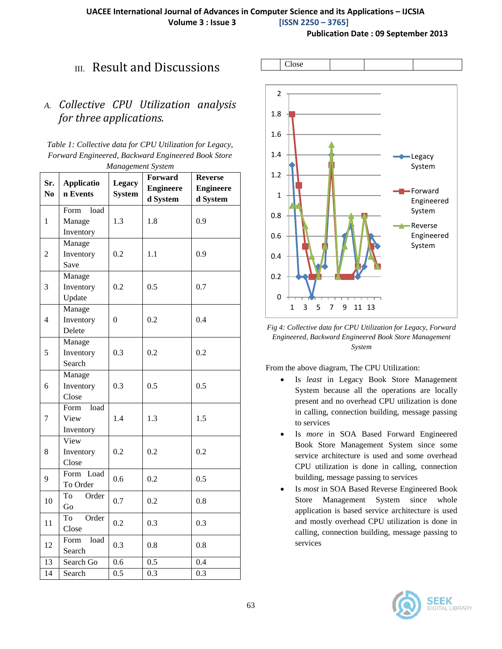Close

**Publication Date : 09 September 2013**

# III. Result and Discussions

#### *A. Collective CPU Utilization analysis for three applications.*

*Table 1: Collective data for CPU Utilization for Legacy, Forward Engineered, Backward Engineered Book Store Management System*

| Sr.<br>N <sub>o</sub> | <b>Applicatio</b><br>n Events       | Legacy<br><b>System</b> | Forward<br><b>Engineere</b><br>d System | <b>Reverse</b><br><b>Engineere</b><br>d System |  |
|-----------------------|-------------------------------------|-------------------------|-----------------------------------------|------------------------------------------------|--|
| 1                     | Form<br>load<br>Manage<br>Inventory | 1.3                     | 1.8                                     | 0.9                                            |  |
| $\overline{c}$        | Manage<br>Inventory<br>Save         | 0.2                     | 1.1                                     | 0.9                                            |  |
| 3                     | Manage<br>Inventory<br>Update       | 0.2                     | 0.5                                     | 0.7                                            |  |
| $\overline{4}$        | Manage<br>Inventory<br>Delete       | $\overline{0}$          | 0.2                                     | 0.4                                            |  |
| 5                     | Manage<br>Inventory<br>Search       | 0.3                     | 0.2                                     | 0.2                                            |  |
| 6                     | Manage<br>Inventory<br>Close        | 0.3                     | 0.5                                     | 0.5                                            |  |
| $\overline{7}$        | load<br>Form<br>View<br>Inventory   | 1.4                     | 1.3                                     | 1.5                                            |  |
| 8                     | View<br>Inventory<br>Close          | 0.2                     | 0.2                                     | 0.2                                            |  |
| 9                     | Load<br>Form<br>To Order            | 0.6                     | 0.2                                     | 0.5                                            |  |
| 10                    | To<br>Order<br>Go                   | 0.7                     | 0.2                                     | 0.8                                            |  |
| 11                    | To<br>Order<br>Close                | 0.2                     | 0.3                                     | 0.3                                            |  |
| 12                    | load<br>Form<br>Search              | 0.3                     | 0.8                                     | 0.8                                            |  |
| 13<br>14              | Search Go<br>Search                 | 0.6<br>0.5              | 0.5<br>0.3                              | 0.4<br>0.3                                     |  |
|                       |                                     |                         |                                         |                                                |  |



*Fig 4: Collective data for CPU Utilization for Legacy, Forward Engineered, Backward Engineered Book Store Management System*

From the above diagram, The CPU Utilization:

- Is *least* in Legacy Book Store Management System because all the operations are locally present and no overhead CPU utilization is done in calling, connection building, message passing to services
- Is *more* in SOA Based Forward Engineered Book Store Management System since some service architecture is used and some overhead CPU utilization is done in calling, connection building, message passing to services
- Is *most* in SOA Based Reverse Engineered Book Store Management System since whole application is based service architecture is used and mostly overhead CPU utilization is done in calling, connection building, message passing to services

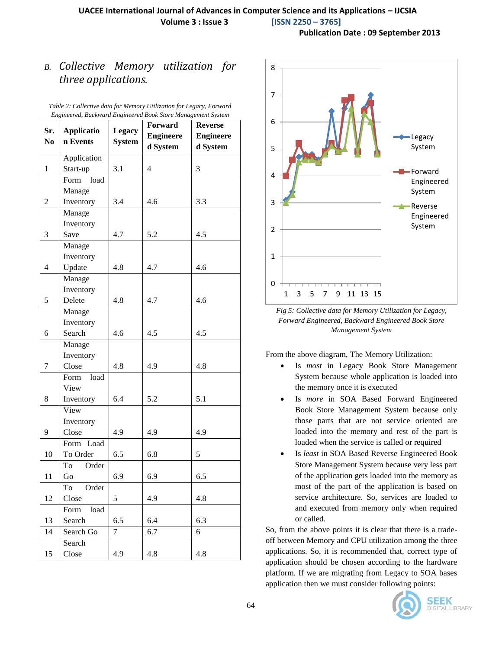**Publication Date : 09 September 2013**

## *B. Collective Memory utilization for three applications.*

| Sr.            | <b>Applicatio</b>           | <b>Legacy</b> | Forward          | <b>Reverse</b>   |  |
|----------------|-----------------------------|---------------|------------------|------------------|--|
| N <sub>0</sub> | n Events                    |               | <b>Engineere</b> | <b>Engineere</b> |  |
|                |                             | <b>System</b> | d System         | d System         |  |
|                | Application                 |               |                  |                  |  |
| $\mathbf{1}$   | Start-up                    | 3.1           | $\overline{4}$   | 3                |  |
|                | $\bar{\text{Form}}$<br>load |               |                  |                  |  |
|                | Manage                      |               |                  |                  |  |
| $\overline{2}$ | Inventory                   | 3.4           | 4.6              | 3.3              |  |
|                | Manage                      |               |                  |                  |  |
|                | Inventory                   |               |                  |                  |  |
| 3              | Save                        | 4.7           | 5.2              | 4.5              |  |
|                | Manage                      |               |                  |                  |  |
|                | Inventory                   |               |                  |                  |  |
| $\overline{4}$ | Update                      | 4.8           | 4.7              | 4.6              |  |
|                | Manage                      |               |                  |                  |  |
|                | Inventory                   |               |                  |                  |  |
| 5              | Delete                      | 4.8           | 4.7              | 4.6              |  |
|                | Manage                      |               |                  |                  |  |
|                | Inventory                   |               |                  |                  |  |
| 6              | Search                      | 4.6           | 4.5              | 4.5              |  |
|                | Manage                      |               |                  |                  |  |
|                | Inventory                   |               |                  |                  |  |
| $\overline{7}$ | Close                       | 4.8           | 4.9              | 4.8              |  |
|                | Form<br>load                |               |                  |                  |  |
|                | View                        |               |                  |                  |  |
| 8              | Inventory                   | 6.4           | 5.2              | 5.1              |  |
|                | View                        |               |                  |                  |  |
|                | Inventory                   |               |                  |                  |  |
| 9              | Close                       | 4.9           | 4.9              | 4.9              |  |
|                | Form Load                   |               |                  |                  |  |
| 10             | To Order                    | 6.5           | 6.8              | 5                |  |
|                | To<br>Order                 |               |                  |                  |  |
| 11             | Go                          | 6.9           | 6.9              | 6.5              |  |
|                | To Order                    |               |                  |                  |  |
| 12             | Close                       | 5             | 4.9              | 4.8              |  |
|                | load<br>Form                |               |                  |                  |  |
| 13             | Search                      | 6.5           | 6.4              | 6.3              |  |
| 14             | Search Go                   | 7             | 6.7              | 6                |  |
|                | Search                      |               |                  |                  |  |
| 15             | Close                       | 4.9           | 4.8              | 4.8              |  |

*Table 2: Collective data for Memory Utilization for Legacy, Forward Engineered, Backward Engineered Book Store Management System*



*Fig 5: Collective data for Memory Utilization for Legacy, Forward Engineered, Backward Engineered Book Store Management System*

From the above diagram, The Memory Utilization:

- Is *most* in Legacy Book Store Management System because whole application is loaded into the memory once it is executed
- Is *more* in SOA Based Forward Engineered Book Store Management System because only those parts that are not service oriented are loaded into the memory and rest of the part is loaded when the service is called or required
- Is *least* in SOA Based Reverse Engineered Book Store Management System because very less part of the application gets loaded into the memory as most of the part of the application is based on service architecture. So, services are loaded to and executed from memory only when required or called.

So, from the above points it is clear that there is a tradeoff between Memory and CPU utilization among the three applications. So, it is recommended that, correct type of application should be chosen according to the hardware platform. If we are migrating from Legacy to SOA bases application then we must consider following points: